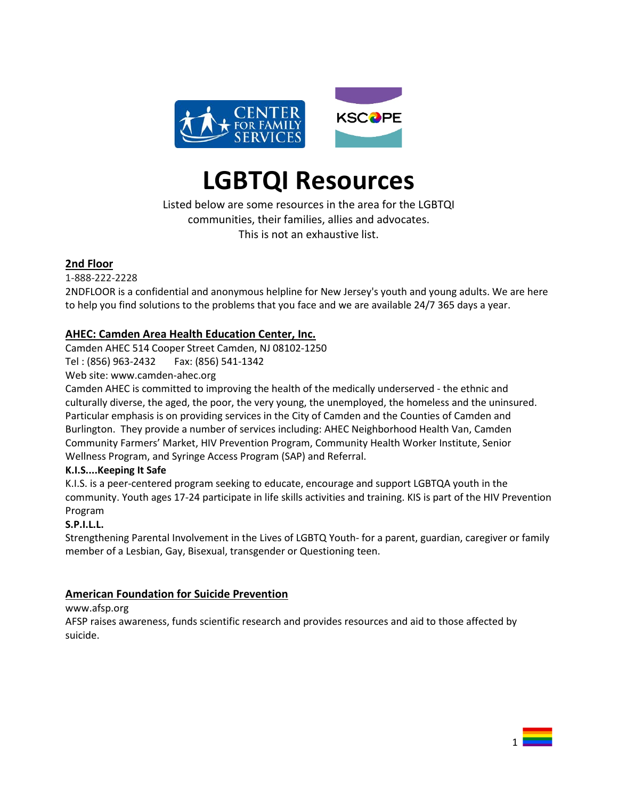

# **LGBTQI Resources**

Listed below are some resources in the area for the LGBTQI communities, their families, allies and advocates. This is not an exhaustive list.

## **2nd Floor**

1-888-222-2228

2NDFLOOR is a confidential and anonymous helpline for New Jersey's youth and young adults. We are here to help you find solutions to the problems that you face and we are available 24/7 365 days a year.

## **AHEC: Camden Area Health Education Center, Inc.**

Camden AHEC 514 Cooper Street Camden, NJ 08102-1250

Tel : (856) 963-2432 Fax: (856) 541-1342

Web site: www.camden-ahec.org

Camden AHEC is committed to improving the health of the medically underserved - the ethnic and culturally diverse, the aged, the poor, the very young, the unemployed, the homeless and the uninsured. Particular emphasis is on providing services in the City of Camden and the Counties of Camden and Burlington. They provide a number of services including: AHEC Neighborhood Health Van, Camden Community Farmers' Market, HIV Prevention Program, Community Health Worker Institute, Senior Wellness Program, and Syringe Access Program (SAP) and Referral.

## **K.I.S....Keeping It Safe**

K.I.S. is a peer-centered program seeking to educate, encourage and support LGBTQA youth in the community. Youth ages 17-24 participate in life skills activities and training. KIS is part of the HIV Prevention Program

## **S.P.I.L.L.**

Strengthening Parental Involvement in the Lives of LGBTQ Youth- for a parent, guardian, caregiver or family member of a Lesbian, Gay, Bisexual, transgender or Questioning teen.

## **American Foundation for Suicide Prevention**

[www.afsp.org](http://www.afsp.org/)

AFSP raises awareness, funds scientific research and provides resources and aid to those affected by suicide.

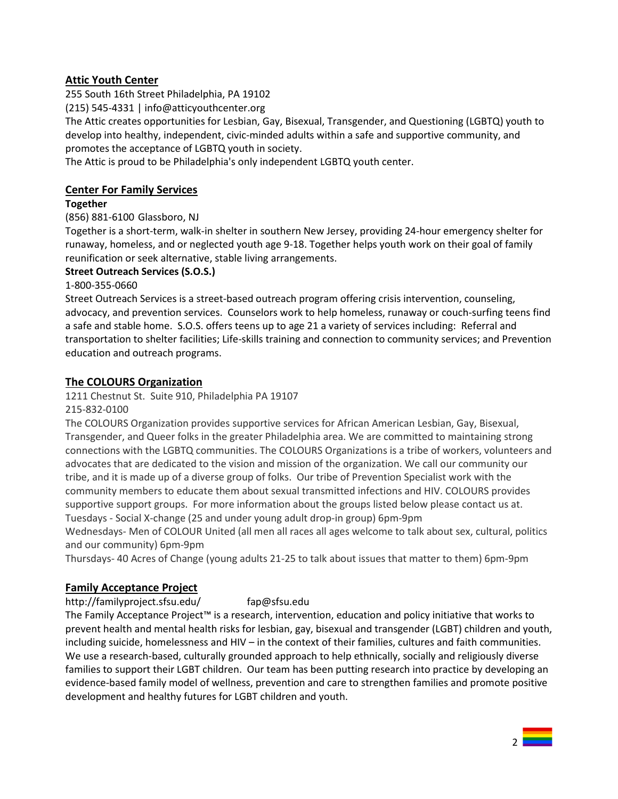## **Attic Youth Center**

255 South 16th Street Philadelphia, PA 19102

(215) 545-4331 | info@atticyouthcenter.org

The Attic creates opportunities for Lesbian, Gay, Bisexual, Transgender, and Questioning (LGBTQ) youth to develop into healthy, independent, civic-minded adults within a safe and supportive community, and promotes the acceptance of LGBTQ youth in society.

The Attic is proud to be Philadelphia's only independent LGBTQ youth center.

## **Center For Family Services**

#### **Together**

(856) 881-6100 Glassboro, NJ

Together is a short-term, walk-in shelter in southern New Jersey, providing 24-hour emergency shelter for runaway, homeless, and or neglected youth age 9-18. Together helps youth work on their goal of family reunification or seek alternative, stable living arrangements.

#### **Street Outreach Services (S.O.S.)**

1-800-355-0660

Street Outreach Services is a street-based outreach program offering crisis intervention, counseling, advocacy, and prevention services. Counselors work to help homeless, runaway or couch-surfing teens find a safe and stable home. S.O.S. offers teens up to age 21 a variety of services including: Referral and transportation to shelter facilities; Life-skills training and connection to community services; and Prevention education and outreach programs.

## **The COLOURS Organization**

1211 Chestnut St. Suite 910, Philadelphia PA 19107

215-832-0100

The COLOURS Organization provides supportive services for African American Lesbian, Gay, Bisexual, Transgender, and Queer folks in the greater Philadelphia area. We are committed to maintaining strong connections with the LGBTQ communities. The COLOURS Organizations is a tribe of workers, volunteers and advocates that are dedicated to the vision and mission of the organization. We call our community our tribe, and it is made up of a diverse group of folks. Our tribe of Prevention Specialist work with the community members to educate them about sexual transmitted infections and HIV. COLOURS provides supportive support groups. For more information about the groups listed below please contact us at. Tuesdays - Social X-change (25 and under young adult drop-in group) 6pm-9pm

Wednesdays- Men of COLOUR United (all men all races all ages welcome to talk about sex, cultural, politics and our community) 6pm-9pm

Thursdays- 40 Acres of Change (young adults 21-25 to talk about issues that matter to them) 6pm-9pm

## **Family Acceptance Project**

http://familyproject.sfsu.edu/ [fap@sfsu.edu](mailto:fap@sfsu.edu)

The Family Acceptance Project™ is a research, intervention, education and policy initiative that works to prevent health and mental health risks for lesbian, gay, bisexual and transgender (LGBT) children and youth, including suicide, homelessness and HIV – in the context of their families, cultures and faith communities. We use a research-based, culturally grounded approach to help ethnically, socially and religiously diverse families to support their LGBT children. Our team has been putting research into practice by developing an evidence-based family model of wellness, prevention and care to strengthen families and promote positive development and healthy futures for LGBT children and youth.

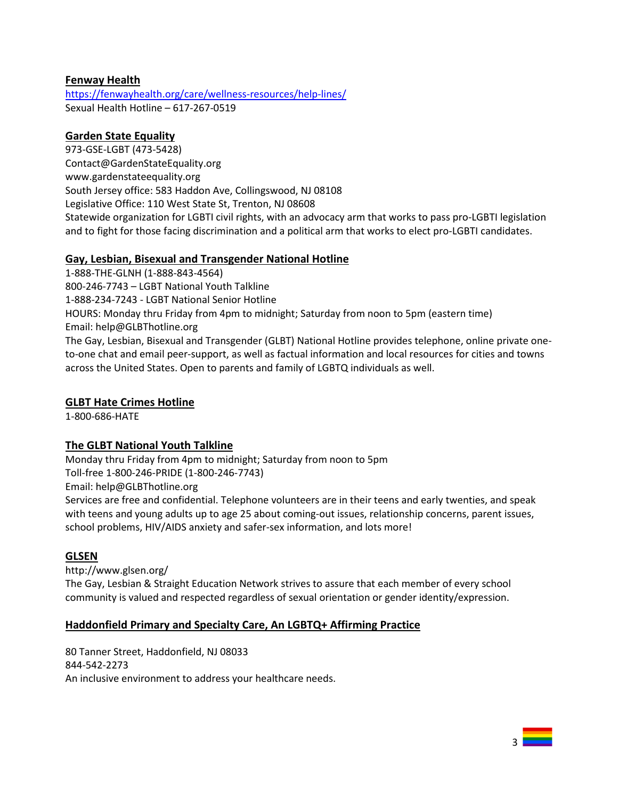## **Fenway Health**

<https://fenwayhealth.org/care/wellness-resources/help-lines/> Sexual Health Hotline – 617-267-0519

## **Garden State Equality**

973-GSE-LGBT (473-5428) Contact@GardenStateEquality.org www.gardenstateequality.org South Jersey office: 583 Haddon Ave, Collingswood, NJ 08108 Legislative Office: 110 West State St, Trenton, NJ 08608 Statewide organization for LGBTI civil rights, with an advocacy arm that works to pass pro-LGBTI legislation and to fight for those facing discrimination and a political arm that works to elect pro-LGBTI candidates.

#### **Gay, Lesbian, Bisexual and Transgender National Hotline**

1-888-THE-GLNH (1-888-843-4564) 800-246-7743 – LGBT National Youth Talkline 1-888-234-7243 - LGBT National Senior Hotline HOURS: Monday thru Friday from 4pm to midnight; Saturday from noon to 5pm (eastern time) Email: [help@GLBThotline.org](mailto:help@GLBThotline.org) The Gay, Lesbian, Bisexual and Transgender (GLBT) National Hotline provides telephone, online private oneto-one chat and email peer-support, as well as factual information and local resources for cities and towns across the United States. Open to parents and family of LGBTQ individuals as well.

## **GLBT Hate Crimes Hotline**

1-800-686-HATE

## **The GLBT National Youth Talkline**

Monday thru Friday from 4pm to midnight; Saturday from noon to 5pm

Toll-free 1-800-246-PRIDE (1-800-246-7743)

Email: [help@GLBThotline.org](mailto:help@GLBThotline.org)

Services are free and confidential. Telephone volunteers are in their teens and early twenties, and speak with teens and young adults up to age 25 about coming-out issues, relationship concerns, parent issues, school problems, HIV/AIDS anxiety and safer-sex information, and lots more!

## **GLSEN**

http://www.glsen.org/

The Gay, Lesbian & Straight Education Network strives to assure that each member of every school community is valued and respected regardless of sexual orientation or gender identity/expression.

## **Haddonfield Primary and Specialty Care, An LGBTQ+ Affirming Practice**

80 Tanner Street, Haddonfield, NJ 08033 844-542-2273 An inclusive environment to address your healthcare needs.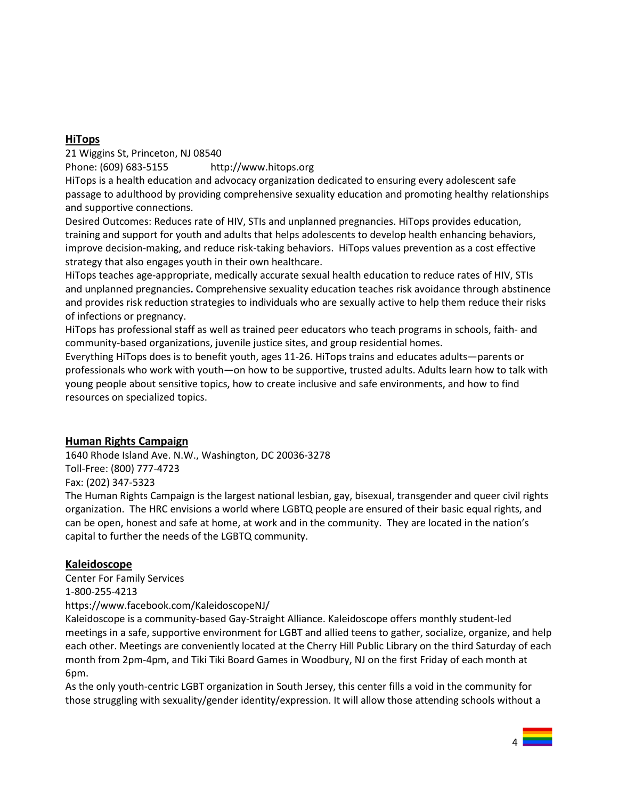## **HiTops**

21 Wiggins St, Princeton, NJ 08540

Phone: [\(609\) 683-5155](javascript:void(0)) http://www.hitops.org

HiTops is a health education and advocacy organization dedicated to ensuring every adolescent safe passage to adulthood by providing comprehensive sexuality education and promoting healthy relationships and supportive connections.

Desired Outcomes: Reduces rate of HIV, STIs and unplanned pregnancies. HiTops provides education, training and support for youth and adults that helps adolescents to develop health enhancing behaviors, improve decision-making, and reduce risk-taking behaviors. HiTops values prevention as a cost effective strategy that also engages youth in their own healthcare.

HiTops teaches age-appropriate, medically accurate sexual health education to reduce rates of HIV, STIs and unplanned pregnancies**.** Comprehensive sexuality education teaches risk avoidance through abstinence and provides risk reduction strategies to individuals who are sexually active to help them reduce their risks of infections or pregnancy.

HiTops has professional staff as well as trained peer educators who teach programs in schools, faith- and community-based organizations, juvenile justice sites, and group residential homes.

Everything HiTops does is to benefit youth, ages 11-26. HiTops trains and educates adults—parents or professionals who work with youth—on how to be supportive, trusted adults. Adults learn how to talk with young people about sensitive topics, how to create inclusive and safe environments, and how to find resources on specialized topics.

## **Human Rights Campaign**

1640 Rhode Island Ave. N.W., Washington, DC 20036-3278 Toll-Free: (800) 777-4723 Fax: (202) 347-5323

The Human Rights Campaign is the largest national lesbian, gay, bisexual, transgender and queer civil rights organization. The HRC envisions a world where LGBTQ people are ensured of their basic equal rights, and can be open, honest and safe at home, at work and in the community. They are located in the nation's capital to further the needs of the LGBTQ community.

## **Kaleidoscope**

Center For Family Services 1-800-255-4213 https://www.facebook.com/KaleidoscopeNJ/

Kaleidoscope is a community-based Gay-Straight Alliance. Kaleidoscope offers monthly student-led meetings in a safe, supportive environment for LGBT and allied teens to gather, socialize, organize, and help each other. Meetings are conveniently located at the Cherry Hill Public Library on the third Saturday of each month from 2pm-4pm, and Tiki Tiki Board Games in Woodbury, NJ on the first Friday of each month at 6pm.

As the only youth-centric LGBT organization in South Jersey, this center fills a void in the community for those struggling with sexuality/gender identity/expression. It will allow those attending schools without a

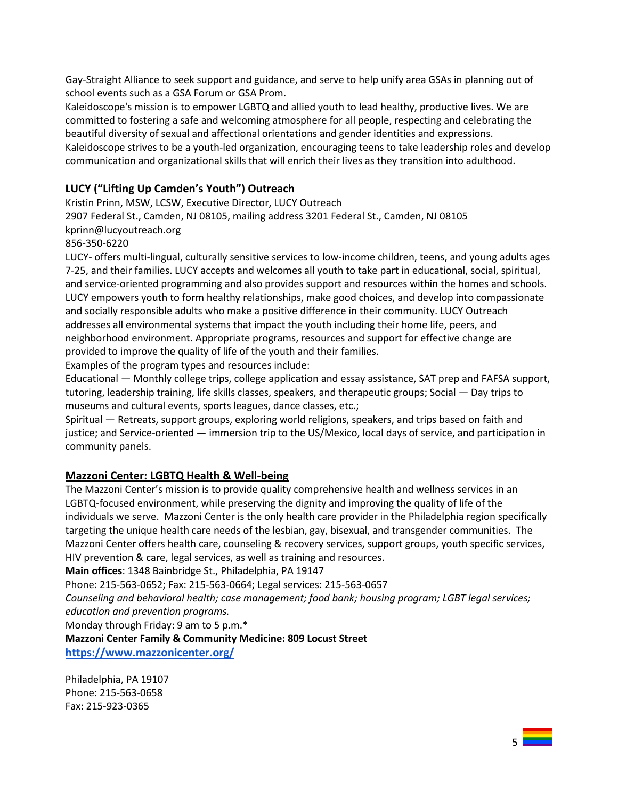Gay-Straight Alliance to seek support and guidance, and serve to help unify area GSAs in planning out of school events such as a GSA Forum or GSA Prom.

Kaleidoscope's mission is to empower LGBTQ and allied youth to lead healthy, productive lives. We are committed to fostering a safe and welcoming atmosphere for all people, respecting and celebrating the beautiful diversity of sexual and affectional orientations and gender identities and expressions. Kaleidoscope strives to be a youth-led organization, encouraging teens to take leadership roles and develop communication and organizational skills that will enrich their lives as they transition into adulthood.

## **LUCY ("Lifting Up Camden's Youth") Outreach**

Kristin Prinn, MSW, LCSW, Executive Director, LUCY Outreach 2907 Federal St., Camden, NJ 08105, mailing address 3201 Federal St., Camden, NJ 08105

kprinn@lucyoutreach.org

856-350-6220

LUCY- offers multi-lingual, culturally sensitive services to low-income children, teens, and young adults ages 7-25, and their families. LUCY accepts and welcomes all youth to take part in educational, social, spiritual, and service-oriented programming and also provides support and resources within the homes and schools. LUCY empowers youth to form healthy relationships, make good choices, and develop into compassionate and socially responsible adults who make a positive difference in their community. LUCY Outreach addresses all environmental systems that impact the youth including their home life, peers, and neighborhood environment. Appropriate programs, resources and support for effective change are provided to improve the quality of life of the youth and their families.

Examples of the program types and resources include:

Educational — Monthly college trips, college application and essay assistance, SAT prep and FAFSA support, tutoring, leadership training, life skills classes, speakers, and therapeutic groups; Social — Day trips to museums and cultural events, sports leagues, dance classes, etc.;

Spiritual — Retreats, support groups, exploring world religions, speakers, and trips based on faith and justice; and Service-oriented — immersion trip to the US/Mexico, local days of service, and participation in community panels.

## **Mazzoni Center: LGBTQ Health & Well-being**

The Mazzoni Center's mission is to provide quality comprehensive health and wellness services in an LGBTQ-focused environment, while preserving the dignity and improving the quality of life of the individuals we serve. Mazzoni Center is the only health care provider in the Philadelphia region specifically targeting the unique health care needs of the lesbian, gay, bisexual, and transgender communities. The Mazzoni Center offers health care, counseling & recovery services, support groups, youth specific services, HIV prevention & care, legal services, as well as training and resources.

**Main offices**: 1348 Bainbridge St., Philadelphia, PA 19147

Phone: 215-563-0652; Fax: 215-563-0664; Legal services: 215-563-0657

*Counseling and behavioral health; case management; food bank; housing program; LGBT legal services; education and prevention programs.*

Monday through Friday: 9 am to 5 p.m.\*

**Mazzoni Center Family & Community Medicine: 809 Locust Street <https://www.mazzonicenter.org/>**

Philadelphia, PA 19107 Phone: 215-563-0658 Fax: 215-923-0365

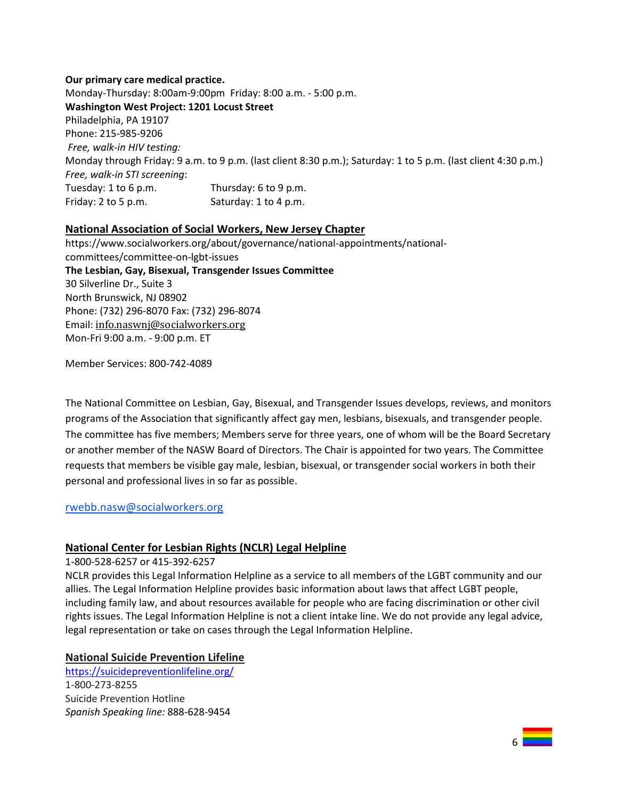## **Our primary care medical practice.** Monday-Thursday: 8:00am-9:00pm Friday: 8:00 a.m. - 5:00 p.m. **Washington West Project: 1201 Locust Street** Philadelphia, PA 19107 Phone: 215-985-9206 *Free, walk-in HIV testing:* Monday through Friday: 9 a.m. to 9 p.m. (last client 8:30 p.m.); Saturday: 1 to 5 p.m. (last client 4:30 p.m.) *Free, walk-in STI screening*: Tuesday: 1 to 6 p.m. Thursday: 6 to 9 p.m. Friday:  $2 \text{ to } 5 \text{ p.m.}$  Saturday:  $1 \text{ to } 4 \text{ p.m.}$

## **National Association of Social Workers, New Jersey Chapter**

https://www.socialworkers.org/about/governance/national-appointments/nationalcommittees/committee-on-lgbt-issues **The Lesbian, Gay, Bisexual, Transgender Issues Committee** 30 Silverline Dr., Suite 3 North Brunswick, NJ 08902 Phone: (732) 296-8070 Fax: (732) 296-8074 Email: [info.naswnj@socialworkers.org](mailto:info.naswnj@socialworkers.org) Mon-Fri 9:00 a.m. - 9:00 p.m. ET

Member Services: 800-742-4089

The National Committee on Lesbian, Gay, Bisexual, and Transgender Issues develops, reviews, and monitors programs of the Association that significantly affect gay men, lesbians, bisexuals, and transgender people. The committee has five members; Members serve for three years, one of whom will be the Board Secretary or another member of the NASW Board of Directors. The Chair is appointed for two years. The Committee requests that members be visible gay male, lesbian, bisexual, or transgender social workers in both their personal and professional lives in so far as possible.

#### [rwebb.nasw@socialworkers.org](mailto:rwebb.nasw@socialworkers.org)

## **National Center for Lesbian Rights (NCLR) Legal Helpline**

#### 1-800-528-6257 or 415-392-6257

NCLR provides this Legal Information Helpline as a service to all members of the LGBT community and our allies. The Legal Information Helpline provides basic information about laws that affect LGBT people, including family law, and about resources available for people who are facing discrimination or other civil rights issues. The Legal Information Helpline is not a client intake line. We do not provide any legal advice, legal representation or take on cases through the Legal Information Helpline.

#### **National Suicide Prevention Lifeline**

<https://suicidepreventionlifeline.org/> 1-800-273-8255 Suicide Prevention Hotline *Spanish Speaking line:* 888-628-9454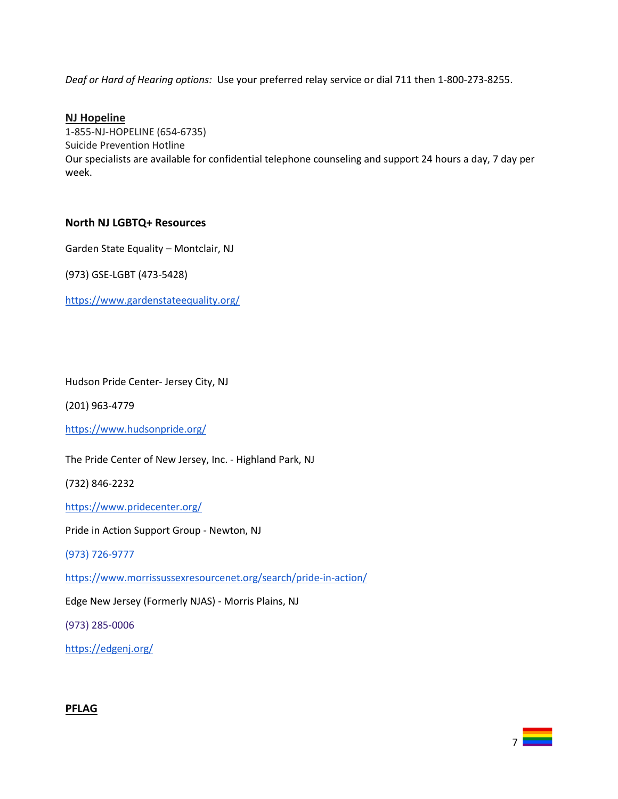*Deaf or Hard of Hearing options:* Use your preferred relay service or dial 711 then 1-800-273-8255.

#### **NJ Hopeline**

1-855-NJ-HOPELINE (654-6735) Suicide Prevention Hotline Our specialists are available for confidential telephone counseling and support 24 hours a day, 7 day per week.

#### **North NJ LGBTQ+ Resources**

Garden State Equality – Montclair, NJ

(973) GSE-LGBT (473-5428)

<https://www.gardenstateequality.org/>

#### Hudson Pride Center- Jersey City, NJ

(201) 963-4779

<https://www.hudsonpride.org/>

The Pride Center of New Jersey, Inc. - Highland Park, NJ

(732) 846-2232

<https://www.pridecenter.org/>

Pride in Action Support Group - Newton, NJ

(973) 726-9777

<https://www.morrissussexresourcenet.org/search/pride-in-action/>

7

Edge New Jersey (Formerly NJAS) - Morris Plains, NJ

(973) 285-0006

<https://edgenj.org/>

#### **PFLAG**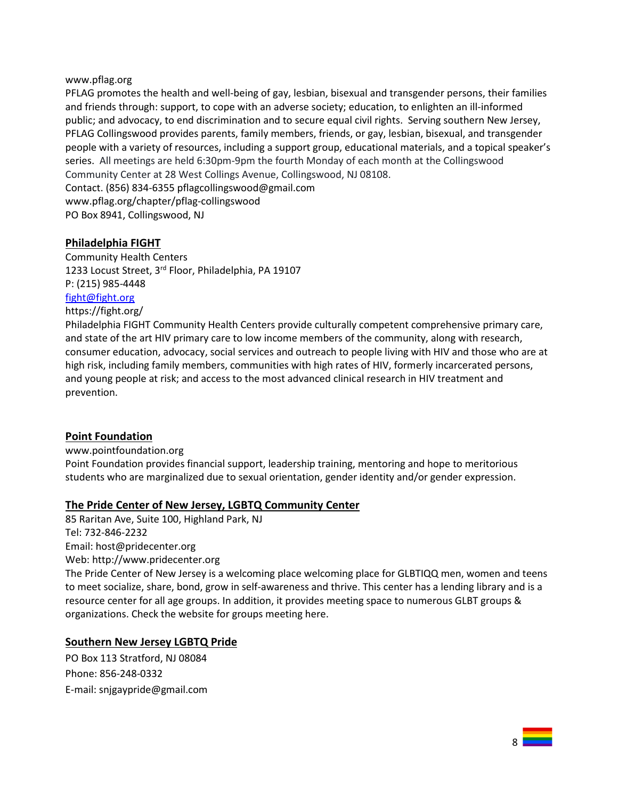#### www.pflag.org

PFLAG promotes the health and well-being of gay, lesbian, bisexual and transgender persons, their families and friends through: support, to cope with an adverse society; education, to enlighten an ill-informed public; and advocacy, to end discrimination and to secure equal civil rights. Serving southern New Jersey, PFLAG Collingswood provides parents, family members, friends, or gay, lesbian, bisexual, and transgender people with a variety of resources, including a support group, educational materials, and a topical speaker's series. All meetings are held 6:30pm-9pm the fourth Monday of each month at the Collingswood Community Center at 28 West Collings Avenue, Collingswood, NJ 08108. Contact. (856) 834-6355 pflagcollingswood@gmail.com

www.pflag.org/chapter/pflag-collingswood PO Box 8941, Collingswood, NJ

#### **Philadelphia FIGHT**

Community Health Centers 1233 Locust Street, 3<sup>rd</sup> Floor, Philadelphia, PA 19107 P: (215) 985-4448 [fight@fight.org](mailto:fight@fight.org)

## https://fight.org/

Philadelphia FIGHT Community Health Centers provide culturally competent comprehensive primary care, and state of the art HIV primary care to low income members of the community, along with research, consumer education, advocacy, social services and outreach to people living with HIV and those who are at high risk, including family members, communities with high rates of HIV, formerly incarcerated persons, and young people at risk; and access to the most advanced clinical research in HIV treatment and prevention.

#### **Point Foundation**

[www.pointfoundation.](http://www.pointfoundation/)org

Point Foundation provides financial support, leadership training, mentoring and hope to meritorious students who are marginalized due to sexual orientation, gender identity and/or gender expression.

#### **The Pride Center of New Jersey, LGBTQ Community Center**

85 Raritan Ave, Suite 100, Highland Park, NJ Tel: 732-846-2232 Email: host@pridecenter.org Web: [http://www.pridecenter.org](http://www.pridecenter.org/) The Pride Center of New Jersey is a welcoming place welcoming place for GLBTIQQ men, women and teens to meet socialize, share, bond, grow in self-awareness and thrive. This center has a lending library and is a resource center for all age groups. In addition, it provides meeting space to numerous GLBT groups & organizations. Check the website for groups meeting here.

## **Southern New Jersey LGBTQ Pride**

PO Box 113 Stratford, NJ 08084 Phone: 856-248-0332 E-mail: [snjgaypride@gmail.com](mailto:snjgaypride%40gmail.com)

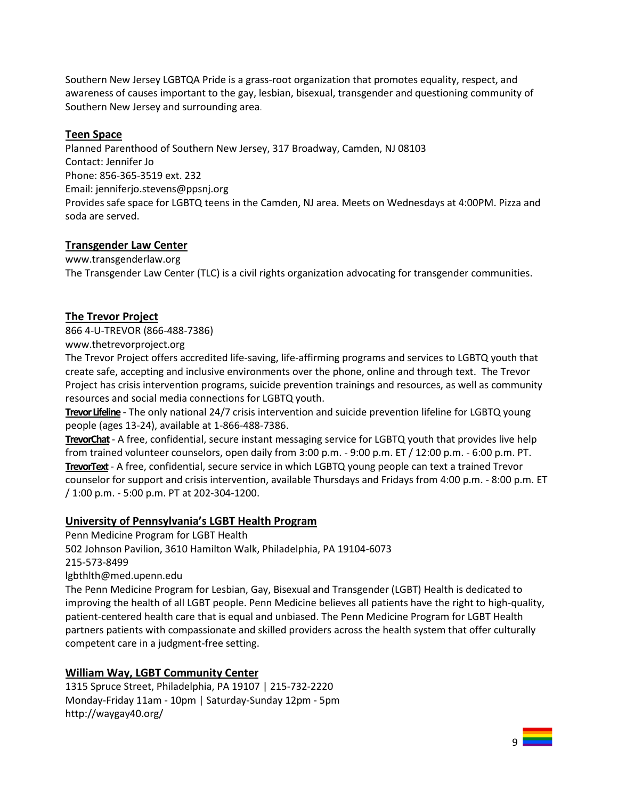Southern New Jersey LGBTQA Pride is a grass-root organization that promotes equality, respect, and awareness of causes important to the gay, lesbian, bisexual, transgender and questioning community of Southern New Jersey and surrounding area.

#### **Teen Space**

Planned Parenthood of Southern New Jersey, 317 Broadway, Camden, NJ 08103 Contact: Jennifer Jo Phone: 856-365-3519 ext. 232 Email: [jenniferjo.stevens@ppsnj.org](mailto:jenniferjo.stevens@ppsnj.org) Provides safe space for LGBTQ teens in the Camden, NJ area. Meets on Wednesdays at 4:00PM. Pizza and soda are served.

## **Transgender Law Center**

www.transgenderlaw.org The Transgender Law Center (TLC) is a civil rights organization advocating for transgender communities.

## **The Trevor Project**

866 4-U-TREVOR (866-488-7386)

www.thetrevorproject.org

The Trevor Project offers accredited life-saving, life-affirming programs and services to LGBTQ youth that create safe, accepting and inclusive environments over the phone, online and through text. The Trevor Project has crisis intervention programs, suicide prevention trainings and resources, as well as community resources and social media connections for LGBTQ youth.

**Trevor Lifeline** - The only national 24/7 crisis intervention and suicide prevention lifeline for LGBTQ young people (ages 13-24), available at 1-866-488-7386.

**[TrevorChat](http://www.thetrevorproject.org/pages/get-help-now#tc)**- A free, confidential, secure instant messaging service for LGBTQ youth that provides live help from trained volunteer counselors, open daily from 3:00 p.m. - 9:00 p.m. ET / 12:00 p.m. - 6:00 p.m. PT. **[TrevorText](http://www.thetrevorproject.org/pages/get-help-now#tt)**- A free, confidential, secure service in which LGBTQ young people can text a trained Trevor counselor for support and crisis intervention, available Thursdays and Fridays from 4:00 p.m. - 8:00 p.m. ET / 1:00 p.m. - 5:00 p.m. PT at 202-304-1200.

## **University of Pennsylvania's LGBT Health Program**

Penn Medicine Program for LGBT Health

502 Johnson Pavilion, 3610 Hamilton Walk, Philadelphia, PA 19104-6073

215-573-8499

lgbthlth@med.upenn.edu

The Penn Medicine Program for Lesbian, Gay, Bisexual and Transgender (LGBT) Health is dedicated to improving the health of all LGBT people. Penn Medicine believes all patients have the right to high-quality, patient-centered health care that is equal and unbiased. The Penn Medicine Program for LGBT Health partners patients with compassionate and skilled providers across the health system that offer culturally competent care in a judgment-free setting.

## **William Way, LGBT Community Center**

1315 Spruce Street, Philadelphia, PA 19107 | 215-732-2220 Monday-Friday 11am - 10pm | Saturday-Sunday 12pm - 5pm http://waygay40.org/